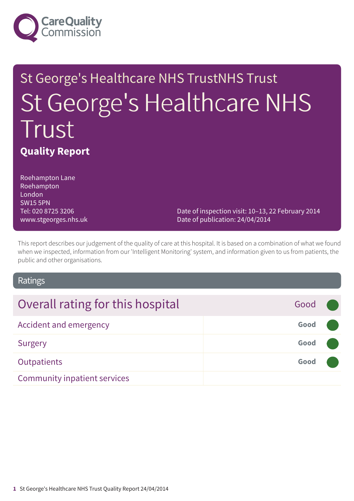

# St George's Healthcare NHS TrustNHS Trust St George's Healthcare NHS Trust **Quality Report**

Roehampton Lane Roehampton London SW15 5PN Tel: 020 8725 3206 www.stgeorges.nhs.uk

Date of inspection visit: 10–13, 22 February 2014 Date of publication: 24/04/2014

This report describes our judgement of the quality of care at this hospital. It is based on a combination of what we found when we inspected, information from our 'Intelligent Monitoring' system, and information given to us from patients, the public and other organisations.

### Ratings

| Overall rating for this hospital    | Good |  |
|-------------------------------------|------|--|
| Accident and emergency              | Good |  |
| Surgery                             | Good |  |
| Outpatients                         | Good |  |
| <b>Community inpatient services</b> |      |  |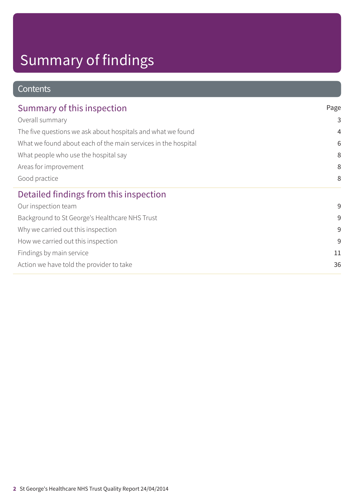# Summary of findings

### **Contents**

| Summary of this inspection                                    | Page           |  |
|---------------------------------------------------------------|----------------|--|
| Overall summary                                               | 3              |  |
| The five questions we ask about hospitals and what we found   | $\overline{4}$ |  |
| What we found about each of the main services in the hospital | 6              |  |
| What people who use the hospital say                          | 8              |  |
| Areas for improvement                                         | 8              |  |
| Good practice                                                 | 8              |  |
| Detailed findings from this inspection                        |                |  |
| Our inspection team                                           | 9              |  |
| Background to St George's Healthcare NHS Trust                | 9              |  |
| Why we carried out this inspection                            | 9              |  |
| How we carried out this inspection                            | 9              |  |
| Findings by main service                                      | 11             |  |
| Action we have told the provider to take                      | 36             |  |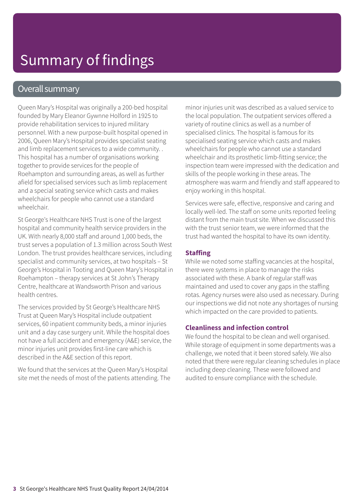# Summary of findings

### Overall summary

Queen Mary's Hospital was originally a 200-bed hospital founded by Mary Eleanor Gywnne Holford in 1925 to provide rehabilitation services to injured military personnel. With a new purpose-built hospital opened in 2006, Queen Mary's Hospital provides specialist seating and limb replacement services to a wide community. . This hospital has a number of organisations working together to provide services for the people of Roehampton and surrounding areas, as well as further afield for specialised services such as limb replacement and a special seating service which casts and makes wheelchairs for people who cannot use a standard wheelchair.

St George's Healthcare NHS Trust is one of the largest hospital and community health service providers in the UK. With nearly 8,000 staff and around 1,000 beds, the trust serves a population of 1.3 million across South West London. The trust provides healthcare services, including specialist and community services, at two hospitals – St George's Hospital in Tooting and Queen Mary's Hospital in Roehampton – therapy services at St John's Therapy Centre, healthcare at Wandsworth Prison and various health centres.

The services provided by St George's Healthcare NHS Trust at Queen Mary's Hospital include outpatient services, 60 inpatient community beds, a minor injuries unit and a day case surgery unit. While the hospital does not have a full accident and emergency (A&E) service, the minor injuries unit provides first-line care which is described in the A&E section of this report.

We found that the services at the Queen Mary's Hospital site met the needs of most of the patients attending. The minor injuries unit was described as a valued service to the local population. The outpatient services offered a variety of routine clinics as well as a number of specialised clinics. The hospital is famous for its specialised seating service which casts and makes wheelchairs for people who cannot use a standard wheelchair and its prosthetic limb-fitting service; the inspection team were impressed with the dedication and skills of the people working in these areas. The atmosphere was warm and friendly and staff appeared to enjoy working in this hospital.

Services were safe, effective, responsive and caring and locally well-led. The staff on some units reported feeling distant from the main trust site. When we discussed this with the trust senior team, we were informed that the trust had wanted the hospital to have its own identity.

#### **Staffing**

While we noted some staffing vacancies at the hospital, there were systems in place to manage the risks associated with these. A bank of regular staff was maintained and used to cover any gaps in the staffing rotas. Agency nurses were also used as necessary. During our inspections we did not note any shortages of nursing which impacted on the care provided to patients.

#### **Cleanliness and infection control**

We found the hospital to be clean and well organised. While storage of equipment in some departments was a challenge, we noted that it been stored safely. We also noted that there were regular cleaning schedules in place including deep cleaning. These were followed and audited to ensure compliance with the schedule.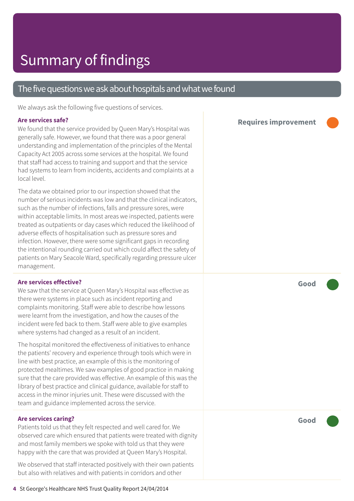### The five questions we ask about hospitals and what we found

We always ask the following five questions of services.

#### **Are services safe?**

We found that the service provided by Queen Mary's Hospital was generally safe. However, we found that there was a poor general understanding and implementation of the principles of the Mental Capacity Act 2005 across some services at the hospital. We found that staff had access to training and support and that the service had systems to learn from incidents, accidents and complaints at a local level.

The data we obtained prior to our inspection showed that the number of serious incidents was low and that the clinical indicators, such as the number of infections, falls and pressure sores, were within acceptable limits. In most areas we inspected, patients were treated as outpatients or day cases which reduced the likelihood of adverse effects of hospitalisation such as pressure sores and infection. However, there were some significant gaps in recording the intentional rounding carried out which could affect the safety of patients on Mary Seacole Ward, specifically regarding pressure ulcer management.

#### **Are services effective?**

We saw that the service at Oueen Mary's Hospital was effective as there were systems in place such as incident reporting and complaints monitoring. Staff were able to describe how lessons were learnt from the investigation, and how the causes of the incident were fed back to them. Staff were able to give examples where systems had changed as a result of an incident.

The hospital monitored the effectiveness of initiatives to enhance the patients' recovery and experience through tools which were in line with best practice, an example of this is the monitoring of protected mealtimes. We saw examples of good practice in making sure that the care provided was effective. An example of this was the library of best practice and clinical guidance, available for staff to access in the minor injuries unit. These were discussed with the team and guidance implemented across the service.

#### **Are services caring?**

Patients told us that they felt respected and well cared for. We observed care which ensured that patients were treated with dignity and most family members we spoke with told us that they were happy with the care that was provided at Queen Mary's Hospital.

We observed that staff interacted positively with their own patients but also with relatives and with patients in corridors and other

**Requires improvement –––**

**Good –––**

**Good –––**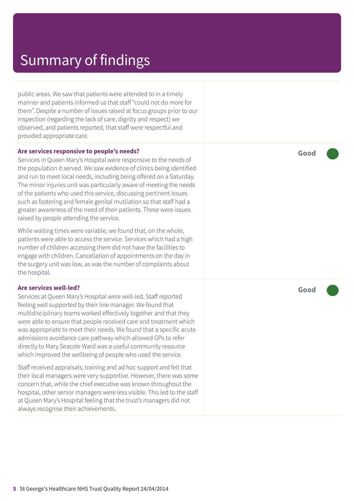### Summary of findings

public areas. We saw that patients were attended to in a timely manner and patients informed us that staff "could not do more for them". Despite a number of issues raised at focus groups prior to our inspection (regarding the lack of care, dignity and respect) we observed, and patients reported, that staff were respectful and provided appropriate care.

#### **Are services responsive to people's needs?**

Services in Queen Mary's Hospital were responsive to the needs of the population it served. We saw evidence of clinics being identified and run to meet local needs, including being offered on a Saturday. The minor injuries unit was particularly aware of meeting the needs of the patients who used this service, discussing pertinent issues such as fostering and female genital mutilation so that staff had a greater awareness of the need of their patients. These were issues raised by people attending the service.

While waiting times were variable, we found that, on the whole, patients were able to access the service. Services which had a high number of children accessing them did not have the facilities to engage with children. Cancellation of appointments on the day in the surgery unit was low, as was the number of complaints about the hospital.

#### **Are services well-led?**

Services at Queen Mary's Hospital were well-led. Staff reported feeling well supported by their line manager. We found that multidisciplinary teams worked effectively together and that they were able to ensure that people received care and treatment which was appropriate to meet their needs. We found that a specific acute admissions avoidance care pathway which allowed GPs to refer directly to Mary Seacole Ward was a useful community resource which improved the wellbeing of people who used the service.

Staff received appraisals, training and ad hoc support and felt that their local managers were very supportive. However, there was some concern that, while the chief executive was known throughout the hospital, other senior managers were less visible. This led to the staff at Queen Mary's Hospital feeling that the trust's managers did not always recognise their achievements.

**Good –––**

**Good –––**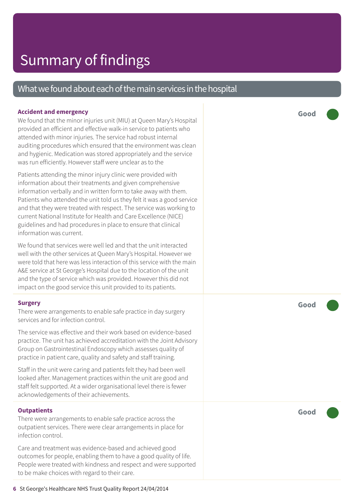### What we found about each of the main services in the hospital

#### **Accident and emergency**

We found that the minor injuries unit (MIU) at Queen Mary's Hospital provided an efficient and effective walk-in service to patients who attended with minor injuries. The service had robust internal auditing procedures which ensured that the environment was clean and hygienic. Medication was stored appropriately and the service was run efficiently. However staff were unclear as to the

Patients attending the minor injury clinic were provided with information about their treatments and given comprehensive information verbally and in written form to take away with them. Patients who attended the unit told us they felt it was a good service and that they were treated with respect. The service was working to current National Institute for Health and Care Excellence (NICE) guidelines and had procedures in place to ensure that clinical information was current.

We found that services were well led and that the unit interacted well with the other services at Queen Mary's Hospital. However we were told that here was less interaction of this service with the main A&E service at St George's Hospital due to the location of the unit and the type of service which was provided. However this did not impact on the good service this unit provided to its patients.

#### **Surgery**

There were arrangements to enable safe practice in day surgery services and for infection control.

The service was effective and their work based on evidence-based practice. The unit has achieved accreditation with the Joint Advisory Group on Gastrointestinal Endoscopy which assesses quality of practice in patient care, quality and safety and staff training.

Staff in the unit were caring and patients felt they had been well looked after. Management practices within the unit are good and staff felt supported. At a wider organisational level there is fewer acknowledgements of their achievements.

#### **Outpatients**

There were arrangements to enable safe practice across the outpatient services. There were clear arrangements in place for infection control.

Care and treatment was evidence-based and achieved good outcomes for people, enabling them to have a good quality of life. People were treated with kindness and respect and were supported to be make choices with regard to their care.

**Good –––**

**Good –––**

**Good –––**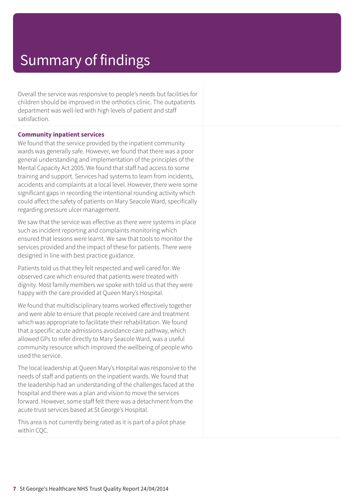# Summary of findings

Overall the service was responsive to people's needs but facilities for children should be improved in the orthotics clinic. The outpatients department was well-led with high levels of patient and staff satisfaction.

#### **Community inpatient services**

We found that the service provided by the inpatient community wards was generally safe. However, we found that there was a poor general understanding and implementation of the principles of the Mental Capacity Act 2005. We found that staff had access to some training and support. Services had systems to learn from incidents, accidents and complaints at a local level. However, there were some significant gaps in recording the intentional rounding activity which could affect the safety of patients on Mary Seacole Ward, specifically regarding pressure ulcer management.

We saw that the service was effective as there were systems in place such as incident reporting and complaints monitoring which ensured that lessons were learnt. We saw that tools to monitor the services provided and the impact of these for patients. There were designed in line with best practice guidance.

Patients told us that they felt respected and well cared for. We observed care which ensured that patients were treated with dignity. Most family members we spoke with told us that they were happy with the care provided at Queen Mary's Hospital.

We found that multidisciplinary teams worked effectively together and were able to ensure that people received care and treatment which was appropriate to facilitate their rehabilitation. We found that a specific acute admissions avoidance care pathway, which allowed GPs to refer directly to Mary Seacole Ward, was a useful community resource which improved the wellbeing of people who used the service.

The local leadership at Queen Mary's Hospital was responsive to the needs of staff and patients on the inpatient wards. We found that the leadership had an understanding of the challenges faced at the hospital and there was a plan and vision to move the services forward. However, some staff felt there was a detachment from the acute trust services based at St George's Hospital.

This area is not currently being rated as it is part of a pilot phase within CQC.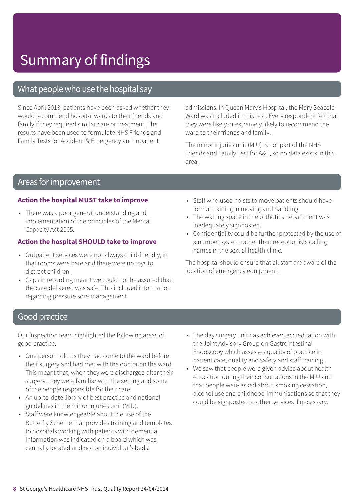# Summary of findings

### What people who use the hospital say

Since April 2013, patients have been asked whether they would recommend hospital wards to their friends and family if they required similar care or treatment. The results have been used to formulate NHS Friends and Family Tests for Accident & Emergency and Inpatient

admissions. In Queen Mary's Hospital, the Mary Seacole Ward was included in this test. Every respondent felt that they were likely or extremely likely to recommend the ward to their friends and family.

The minor injuries unit (MIU) is not part of the NHS Friends and Family Test for A&E, so no data exists in this area.

### Areas forimprovement

#### **Action the hospital MUST take to improve**

• There was a poor general understanding and implementation of the principles of the Mental Capacity Act 2005.

#### **Action the hospital SHOULD take to improve**

- Outpatient services were not always child-friendly, in that rooms were bare and there were no toys to distract children.
- Gaps in recording meant we could not be assured that the care delivered was safe. This included information regarding pressure sore management.
- Staff who used hoists to move patients should have formal training in moving and handling.
- The waiting space in the orthotics department was inadequately signposted.
- Confidentiality could be further protected by the use of a number system rather than receptionists calling names in the sexual health clinic.

The hospital should ensure that all staff are aware of the location of emergency equipment.

### **Good practice**

Our inspection team highlighted the following areas of good practice:

- One person told us they had come to the ward before their surgery and had met with the doctor on the ward. This meant that, when they were discharged after their surgery, they were familiar with the setting and some of the people responsible for their care.
- An up-to-date library of best practice and national guidelines in the minor injuries unit (MIU).
- Staff were knowledgeable about the use of the Butterfly Scheme that provides training and templates to hospitals working with patients with dementia. Information was indicated on a board which was centrally located and not on individual's beds.
- The day surgery unit has achieved accreditation with the Joint Advisory Group on Gastrointestinal Endoscopy which assesses quality of practice in patient care, quality and safety and staff training.
- We saw that people were given advice about health education during their consultations in the MIU and that people were asked about smoking cessation, alcohol use and childhood immunisations so that they could be signposted to other services if necessary.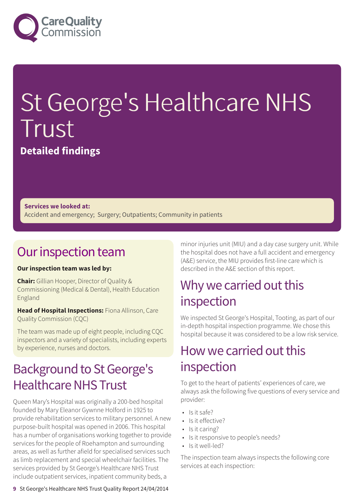

# St George's Healthcare NHS Trust

**Detailed findings**

**Services we looked at:** Accident and emergency; Surgery; Outpatients; Community in patients

### Our inspection team

#### **Our inspection team was led by:**

**Chair:** Gillian Hooper, Director of Quality & Commissioning (Medical & Dental), Health Education England

**Head of Hospital Inspections:** Fiona Allinson, Care Quality Commission (CQC)

The team was made up of eight people, including CQC inspectors and a variety of specialists, including experts by experience, nurses and doctors.

### **Background to St George's** Healthcare NHS Trust

Queen Mary's Hospital was originally a 200-bed hospital founded by Mary Eleanor Gywnne Holford in 1925 to provide rehabilitation services to military personnel. A new purpose-built hospital was opened in 2006. This hospital has a number of organisations working together to provide services for the people of Roehampton and surrounding areas, as well as further afield for specialised services such as limb replacement and special wheelchair facilities. The services provided by St George's Healthcare NHS Trust include outpatient services, inpatient community beds, a

minor injuries unit (MIU) and a day case surgery unit. While the hospital does not have a full accident and emergency (A&E) service, the MIU provides first-line care which is described in the A&E section of this report.

### Why we carried out this inspection

We inspected St George's Hospital, Tooting, as part of our in-depth hospital inspection programme. We chose this hospital because it was considered to be a low risk service.

### How we carried out this inspection

To get to the heart of patients' experiences of care, we always ask the following five questions of every service and provider:

- Is it safe?
- Is it effective?
- Is it caring?
- Is it responsive to people's needs?
- Is it well-led?

The inspection team always inspects the following core services at each inspection: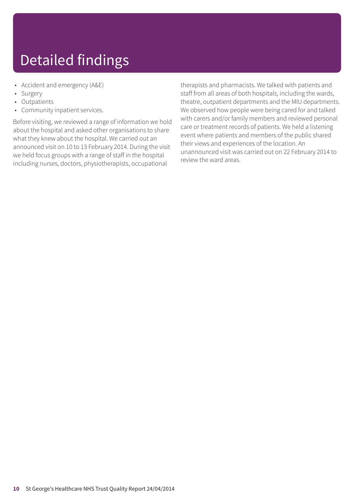# Detailed findings

- Accident and emergency (A&E)
- **Surgery**
- Outpatients
- Community inpatient services.

Before visiting, we reviewed a range of information we hold about the hospital and asked other organisations to share what they knew about the hospital. We carried out an announced visit on 10 to 13 February 2014. During the visit we held focus groups with a range of staff in the hospital including nurses, doctors, physiotherapists, occupational

therapists and pharmacists. We talked with patients and staff from all areas of both hospitals, including the wards, theatre, outpatient departments and the MIU departments. We observed how people were being cared for and talked with carers and/or family members and reviewed personal care or treatment records of patients. We held a listening event where patients and members of the public shared their views and experiences of the location. An unannounced visit was carried out on 22 February 2014 to review the ward areas.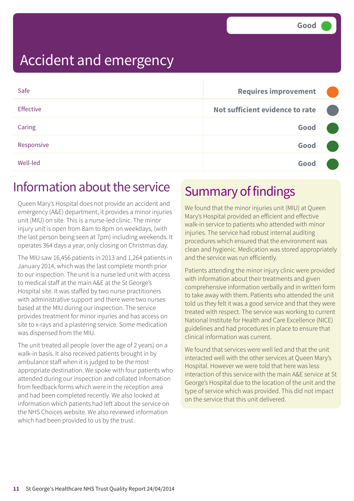| Safe            | <b>Requires improvement</b>     |  |
|-----------------|---------------------------------|--|
| Effective       | Not sufficient evidence to rate |  |
| Caring          | Good                            |  |
| Responsive      | Good                            |  |
| <b>Well-led</b> | Good                            |  |

### Information about the service

Queen Mary's Hospital does not provide an accident and emergency (A&E) department, it provides a minor injuries unit (MIU) on site. This is a nurse-led clinic. The minor injury unit is open from 8am to 8pm on weekdays, (with the last person being seen at 7pm) including weekends. It operates 364 days a year, only closing on Christmas day.

The MIU saw 16,456 patients in 2013 and 1,264 patients in January 2014, which was the last complete month prior to our inspection. The unit is a nurse led unit with access to medical staff at the main A&E at the St George's Hospital site. It was staffed by two nurse practitioners with administrative support and there were two nurses based at the MIU during our inspection. The service provides treatment for minor injuries and has access on site to x-rays and a plastering service. Some medication was dispensed from the MIU.

The unit treated all people (over the age of 2 years) on a walk-in basis. It also received patients brought in by ambulance staff when it is judged to be the most appropriate destination. We spoke with four patients who attended during our inspection and collated information from feedback forms which were in the reception area and had been completed recently. We also looked at information which patients had left about the service on the NHS Choices website. We also reviewed information which had been provided to us by the trust.

### Summary of findings

We found that the minor injuries unit (MIU) at Queen Mary's Hospital provided an efficient and effective walk-in service to patients who attended with minor injuries. The service had robust internal auditing procedures which ensured that the environment was clean and hygienic. Medication was stored appropriately and the service was run efficiently.

Patients attending the minor injury clinic were provided with information about their treatments and given comprehensive information verbally and in written form to take away with them. Patients who attended the unit told us they felt it was a good service and that they were treated with respect. The service was working to current National Institute for Health and Care Excellence (NICE) guidelines and had procedures in place to ensure that clinical information was current.

We found that services were well led and that the unit interacted well with the other services at Queen Mary's Hospital. However we were told that here was less interaction of this service with the main A&E service at St George's Hospital due to the location of the unit and the type of service which was provided. This did not impact on the service that this unit delivered.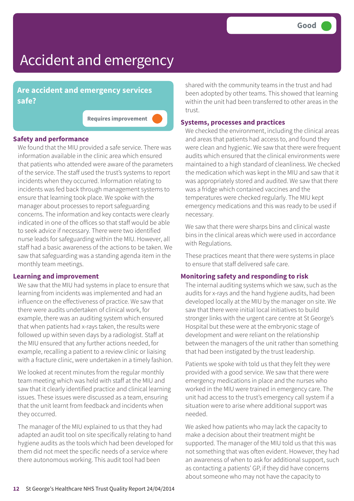**Are accident and emergency services safe?**

**Requires improvement –––**

#### **Safety and performance**

We found that the MIU provided a safe service. There was information available in the clinic area which ensured that patients who attended were aware of the parameters of the service. The staff used the trust's systems to report incidents when they occurred. Information relating to incidents was fed back through management systems to ensure that learning took place. We spoke with the manager about processes to report safeguarding concerns. The information and key contacts were clearly indicated in one of the offices so that staff would be able to seek advice if necessary. There were two identified nurse leads for safeguarding within the MIU. However, all staff had a basic awareness of the actions to be taken. We saw that safeguarding was a standing agenda item in the monthly team meetings.

#### **Learning and improvement**

We saw that the MIU had systems in place to ensure that learning from incidents was implemented and had an influence on the effectiveness of practice. We saw that there were audits undertaken of clinical work, for example, there was an auditing system which ensured that when patients had x-rays taken, the results were followed up within seven days by a radiologist. Staff at the MIU ensured that any further actions needed, for example, recalling a patient to a review clinic or liaising with a fracture clinic, were undertaken in a timely fashion.

We looked at recent minutes from the regular monthly team meeting which was held with staff at the MIU and saw that it clearly identified practice and clinical learning issues. These issues were discussed as a team, ensuring that the unit learnt from feedback and incidents when they occurred.

The manager of the MIU explained to us that they had adapted an audit tool on site specifically relating to hand hygiene audits as the tools which had been developed for them did not meet the specific needs of a service where there autonomous working. This audit tool had been

shared with the community teams in the trust and had been adopted by other teams. This showed that learning within the unit had been transferred to other areas in the trust.

#### **Systems, processes and practices**

We checked the environment, including the clinical areas and areas that patients had access to, and found they were clean and hygienic. We saw that there were frequent audits which ensured that the clinical environments were maintained to a high standard of cleanliness. We checked the medication which was kept in the MIU and saw that it was appropriately stored and audited. We saw that there was a fridge which contained vaccines and the temperatures were checked regularly. The MIU kept emergency medications and this was ready to be used if necessary.

We saw that there were sharps bins and clinical waste bins in the clinical areas which were used in accordance with Regulations.

These practices meant that there were systems in place to ensure that staff delivered safe care.

#### **Monitoring safety and responding to risk**

The internal auditing systems which we saw, such as the audits for x-rays and the hand hygiene audits, had been developed locally at the MIU by the manager on site. We saw that there were initial local initiatives to build stronger links with the urgent care centre at St George's Hospital but these were at the embryonic stage of development and were reliant on the relationship between the managers of the unit rather than something that had been instigated by the trust leadership.

Patients we spoke with told us that they felt they were provided with a good service. We saw that there were emergency medications in place and the nurses who worked in the MIU were trained in emergency care. The unit had access to the trust's emergency call system if a situation were to arise where additional support was needed.

We asked how patients who may lack the capacity to make a decision about their treatment might be supported. The manager of the MIU told us that this was not something that was often evident. However, they had an awareness of when to ask for additional support, such as contacting a patients' GP, if they did have concerns about someone who may not have the capacity to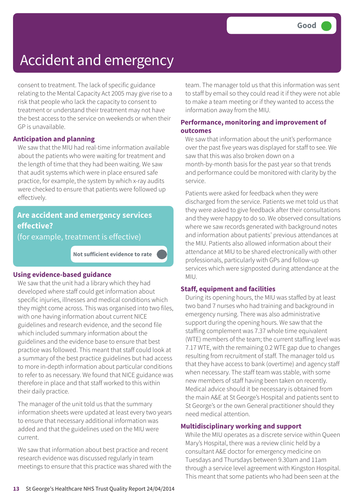consent to treatment. The lack of specific guidance relating to the Mental Capacity Act 2005 may give rise to a risk that people who lack the capacity to consent to treatment or understand their treatment may not have the best access to the service on weekends or when their GP is unavailable.

#### **Anticipation and planning**

We saw that the MIU had real-time information available about the patients who were waiting for treatment and the length of time that they had been waiting. We saw that audit systems which were in place ensured safe practice, for example, the system by which x-ray audits were checked to ensure that patients were followed up effectively.

### **Are accident and emergency services effective?**

(for example, treatment is effective)

**Not sufficient evidence to rate –––**

#### **Using evidence-based guidance**

We saw that the unit had a library which they had developed where staff could get information about specific injuries, illnesses and medical conditions which they might come across. This was organised into two files, with one having information about current NICE guidelines and research evidence, and the second file which included summary information about the guidelines and the evidence base to ensure that best practice was followed. This meant that staff could look at a summary of the best practice guidelines but had access to more in-depth information about particular conditions to refer to as necessary. We found that NICE guidance was therefore in place and that staff worked to this within their daily practice.

The manager of the unit told us that the summary information sheets were updated at least every two years to ensure that necessary additional information was added and that the guidelines used on the MIU were current.

We saw that information about best practice and recent research evidence was discussed regularly in team meetings to ensure that this practice was shared with the team. The manager told us that this information was sent to staff by email so they could read it if they were not able to make a team meeting or if they wanted to access the information away from the MIU.

#### **Performance, monitoring and improvement of outcomes**

We saw that information about the unit's performance over the past five years was displayed for staff to see. We saw that this was also broken down on a month-by-month basis for the past year so that trends and performance could be monitored with clarity by the service.

Patients were asked for feedback when they were discharged from the service. Patients we met told us that they were asked to give feedback after their consultations and they were happy to do so. We observed consultations where we saw records generated with background notes and information about patients' previous attendances at the MIU. Patients also allowed information about their attendance at MIU to be shared electronically with other professionals, particularly with GPs and follow-up services which were signposted during attendance at the MIU.

#### **Staff, equipment and facilities**

During its opening hours, the MIU was staffed by at least two band 7 nurses who had training and background in emergency nursing. There was also administrative support during the opening hours. We saw that the staffing complement was 7.37 whole time equivalent (WTE) members of the team; the current staffing level was 7.17 WTE, with the remaining 0.2 WTE gap due to changes resulting from recruitment of staff. The manager told us that they have access to bank (overtime) and agency staff when necessary. The staff team was stable, with some new members of staff having been taken on recently. Medical advice should it be necessary is obtained from the main A&E at St George's Hospital and patients sent to St George's or the own General practitioner should they need medical attention.

#### **Multidisciplinary working and support**

While the MIU operates as a discrete service within Queen Mary's Hospital, there was a review clinic held by a consultant A&E doctor for emergency medicine on Tuesdays and Thursdays between 9.30am and 11am through a service level agreement with Kingston Hospital. This meant that some patients who had been seen at the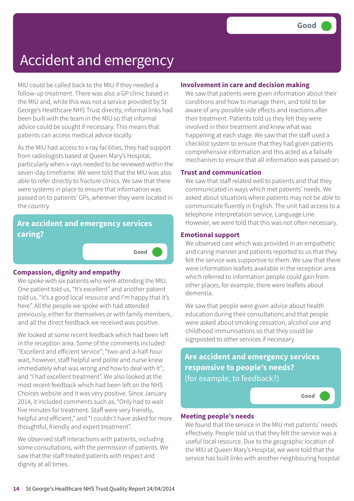MIU could be called back to the MIU if they needed a follow-up treatment. There was also a GP clinic based in the MIU and, while this was not a service provided by St George's Healthcare NHS Trust directly, informal links had been built with the team in the MIU so that informal advice could be sought if necessary. This means that patients can access medical advice locally.

As the MIU had access to x-ray facilities, they had support from radiologists based at Queen Mary's Hospital, particularly when x-rays needed to be reviewed within the seven-day timeframe. We were told that the MIU was also able to refer directly to fracture clinics. We saw that there were systems in place to ensure that information was passed on to patients' GPs, wherever they were located in the country.

### **Are accident and emergency services caring?**

#### **Compassion, dignity and empathy**

We spoke with six patients who were attending the MIU. One patient told us, "It's excellent" and another patient told us, "it's a good local resource and I'm happy that it's here". All the people we spoke with had attended previously, either for themselves or with family members, and all the direct feedback we received was positive.

**Good –––**

We looked at some recent feedback which had been left in the reception area. Some of the comments included: "Excellent and efficient service"; "two-and-a-half-hour wait, however, staff helpful and polite and nurse knew immediately what was wrong and how to deal with it"; and "I had excellent treatment". We also looked at the most recent feedback which had been left on the NHS Choices website and it was very positive. Since January 2014, it included comments such as, "Only had to wait five minutes for treatment. Staff were very friendly, helpful and efficient," and "I couldn't have asked for more thoughtful, friendly and expert treatment".

We observed staff interactions with patients, including some consultations, with the permission of patients. We saw that the staff treated patients with respect and dignity at all times.

#### **Involvement in care and decision making**

We saw that patients were given information about their conditions and how to manage them, and told to be aware of any possible side effects and reactions after their treatment. Patients told us they felt they were involved in their treatment and knew what was happening at each stage. We saw that the staff used a checklist system to ensure that they had given patients comprehensive information and this acted as a failsafe mechanism to ensure that all information was passed on.

#### **Trust and communication**

We saw that staff related well to patients and that they communicated in ways which met patients' needs. We asked about situations where patients may not be able to communicate fluently in English. The unit had access to a telephone interpretation service, Language Line. However, we were told that this was not often necessary.

#### **Emotional support**

We observed care which was provided in an empathetic and caring manner and patients reported to us that they felt the service was supportive to them. We saw that there were information leaflets available in the reception area which referred to information people could gain from other places, for example, there were leaflets about dementia.

We saw that people were given advice about health education during their consultations and that people were asked about smoking cessation, alcohol use and childhood immunisations so that they could be signposted to other services if necessary.

**Are accident and emergency services responsive to people's needs?** (for example, to feedback?)

**Good –––**

#### **Meeting people's needs**

We found that the service in the MIU met patients' needs effectively. People told us that they felt the service was a useful local resource. Due to the geographic location of the MIU at Queen Mary's Hospital, we were told that the service has built links with another neighbouring hospital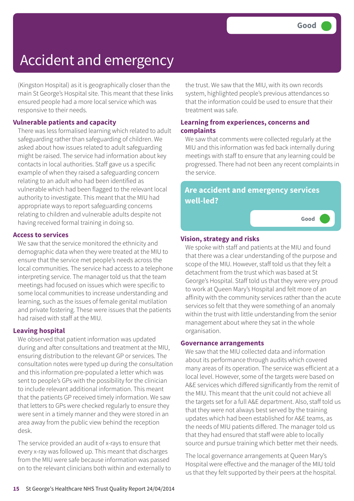(Kingston Hospital) as it is geographically closer than the main St George's Hospital site. This meant that these links ensured people had a more local service which was responsive to their needs.

#### **Vulnerable patients and capacity**

There was less formalised learning which related to adult safeguarding rather than safeguarding of children. We asked about how issues related to adult safeguarding might be raised. The service had information about key contacts in local authorities. Staff gave us a specific example of when they raised a safeguarding concern relating to an adult who had been identified as vulnerable which had been flagged to the relevant local authority to investigate. This meant that the MIU had appropriate ways to report safeguarding concerns relating to children and vulnerable adults despite not having received formal training in doing so.

#### **Access to services**

We saw that the service monitored the ethnicity and demographic data when they were treated at the MIU to ensure that the service met people's needs across the local communities. The service had access to a telephone interpreting service. The manager told us that the team meetings had focused on issues which were specific to some local communities to increase understanding and learning, such as the issues of female genital mutilation and private fostering. These were issues that the patients had raised with staff at the MIU.

#### **Leaving hospital**

We observed that patient information was updated during and after consultations and treatment at the MIU, ensuring distribution to the relevant GP or services. The consultation notes were typed up during the consultation and this information pre-populated a letter which was sent to people's GPs with the possibility for the clinician to include relevant additional information. This meant that the patients GP received timely information. We saw that letters to GPs were checked regularly to ensure they were sent in a timely manner and they were stored in an area away from the public view behind the reception desk.

The service provided an audit of x-rays to ensure that every x-ray was followed up. This meant that discharges from the MIU were safe because information was passed on to the relevant clinicians both within and externally to the trust. We saw that the MIU, with its own records system, highlighted people's previous attendances so that the information could be used to ensure that their treatment was safe.

#### **Learning from experiences, concerns and complaints**

We saw that comments were collected regularly at the MIU and this information was fed back internally during meetings with staff to ensure that any learning could be progressed. There had not been any recent complaints in the service.

### **Are accident and emergency services well-led?**

**Good –––**

#### **Vision, strategy and risks**

We spoke with staff and patients at the MIU and found that there was a clear understanding of the purpose and scope of the MIU. However, staff told us that they felt a detachment from the trust which was based at St George's Hospital. Staff told us that they were very proud to work at Queen Mary's Hospital and felt more of an affinity with the community services rather than the acute services so felt that they were something of an anomaly within the trust with little understanding from the senior management about where they sat in the whole organisation.

#### **Governance arrangements**

We saw that the MIU collected data and information about its performance through audits which covered many areas of its operation. The service was efficient at a local level. However, some of the targets were based on A&E services which differed significantly from the remit of the MIU. This meant that the unit could not achieve all the targets set for a full A&E department. Also, staff told us that they were not always best served by the training updates which had been established for A&E teams, as the needs of MIU patients differed. The manager told us that they had ensured that staff were able to locally source and pursue training which better met their needs.

The local governance arrangements at Queen Mary's Hospital were effective and the manager of the MIU told us that they felt supported by their peers at the hospital.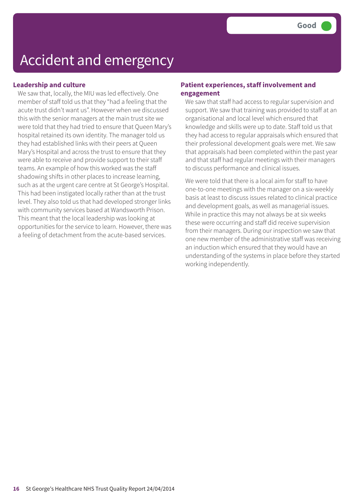#### **Leadership and culture**

We saw that, locally, the MIU was led effectively. One member of staff told us that they "had a feeling that the acute trust didn't want us". However when we discussed this with the senior managers at the main trust site we were told that they had tried to ensure that Queen Mary's hospital retained its own identity. The manager told us they had established links with their peers at Queen Mary's Hospital and across the trust to ensure that they were able to receive and provide support to their staff teams. An example of how this worked was the staff shadowing shifts in other places to increase learning, such as at the urgent care centre at St George's Hospital. This had been instigated locally rather than at the trust level. They also told us that had developed stronger links with community services based at Wandsworth Prison. This meant that the local leadership was looking at opportunities for the service to learn. However, there was a feeling of detachment from the acute-based services.

#### **Patient experiences, staff involvement and engagement**

We saw that staff had access to regular supervision and support. We saw that training was provided to staff at an organisational and local level which ensured that knowledge and skills were up to date. Staff told us that they had access to regular appraisals which ensured that their professional development goals were met. We saw that appraisals had been completed within the past year and that staff had regular meetings with their managers to discuss performance and clinical issues.

We were told that there is a local aim for staff to have one-to-one meetings with the manager on a six-weekly basis at least to discuss issues related to clinical practice and development goals, as well as managerial issues. While in practice this may not always be at six weeks these were occurring and staff did receive supervision from their managers. During our inspection we saw that one new member of the administrative staff was receiving an induction which ensured that they would have an understanding of the systems in place before they started working independently.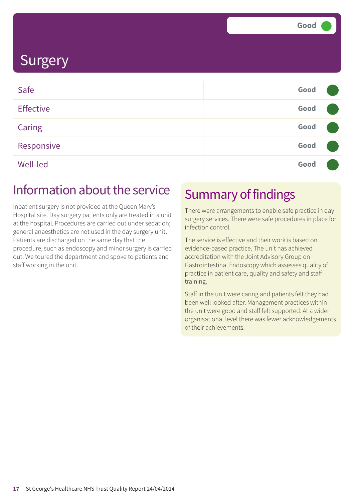### **Surgery**

| Safe             | Good |  |
|------------------|------|--|
| <b>Effective</b> | Good |  |
| Caring           | Good |  |
| Responsive       | Good |  |
| <b>Well-led</b>  | Good |  |

### Information about the service

Inpatient surgery is not provided at the Queen Mary's Hospital site. Day surgery patients only are treated in a unit at the hospital. Procedures are carried out under sedation; general anaesthetics are not used in the day surgery unit. Patients are discharged on the same day that the procedure, such as endoscopy and minor surgery is carried out. We toured the department and spoke to patients and staff working in the unit.

### Summary of findings

There were arrangements to enable safe practice in day surgery services. There were safe procedures in place for infection control.

The service is effective and their work is based on evidence-based practice. The unit has achieved accreditation with the Joint Advisory Group on Gastrointestinal Endoscopy which assesses quality of practice in patient care, quality and safety and staff training.

Staff in the unit were caring and patients felt they had been well looked after. Management practices within the unit were good and staff felt supported. At a wider organisational level there was fewer acknowledgements of their achievements.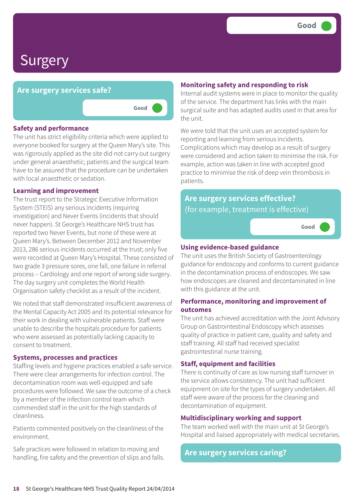### Surgery

#### **Are surgery services safe?**

**Good –––**



The unit has strict eligibility criteria which were applied to everyone booked for surgery at the Queen Mary's site. This was rigorously applied as the site did not carry out surgery under general anaesthetic; patients and the surgical team have to be assured that the procedure can be undertaken with local anaesthetic or sedation.

#### **Learning and improvement**

The trust report to the Strategic Executive Information System (STEIS) any serious incidents (requiring investigation) and Never Events (incidents that should never happen). St George's Healthcare NHS trust has reported two Never Events, but none of these were at Queen Mary's. Between December 2012 and November 2013, 286 serious incidents occurred at the trust; only five were recorded at Queen Mary's Hospital. These consisted of two grade 3 pressure sores, one fall, one failure in referral process – Cardiology and one report of wrong side surgery. The day surgery unit completes the World Health Organisation safety checklist as a result of the incident.

We noted that staff demonstrated insufficient awareness of the Mental Capacity Act 2005 and its potential relevance for their work in dealing with vulnerable patients. Staff were unable to describe the hospitals procedure for patients who were assessed as potentially lacking capacity to consent to treatment.

#### **Systems, processes and practices**

Staffing levels and hygiene practices enabled a safe service. There were clear arrangements for infection control. The decontamination room was well-equipped and safe procedures were followed. We saw the outcome of a check by a member of the infection control team which commended staff in the unit for the high standards of cleanliness.

Patients commented positively on the cleanliness of the environment.

Safe practices were followed in relation to moving and handling, fire safety and the prevention of slips and falls.

#### **Monitoring safety and responding to risk**

Internal audit systems were in place to monitor the quality of the service. The department has links with the main surgical suite and has adapted audits used in that area for the unit.

We were told that the unit uses an accepted system for reporting and learning from serious incidents. Complications which may develop as a result of surgery were considered and action taken to minimise the risk. For example, action was taken in line with accepted good practice to minimise the risk of deep vein thrombosis in patients.

### **Are surgery services effective?** (for example, treatment is effective)

**Good –––**

#### **Using evidence-based guidance**

The unit uses the British Society of Gastroenterology guidance for endoscopy and conforms to current guidance in the decontamination process of endoscopes. We saw how endoscopes are cleaned and decontaminated in line with this guidance at the unit.

#### **Performance, monitoring and improvement of outcomes**

The unit has achieved accreditation with the Joint Advisory Group on Gastrointestinal Endoscopy which assesses quality of practice in patient care, quality and safety and staff training. All staff had received specialist gastrointestinal nurse training.

#### **Staff, equipment and facilities**

There is continuity of care as low nursing staff turnover in the service allows consistency. The unit had sufficient equipment on site for the types of surgery undertaken. All staff were aware of the process for the cleaning and decontamination of equipment.

#### **Multidisciplinary working and support**

The team worked well with the main unit at St George's Hospital and liaised appropriately with medical secretaries.

#### **Are surgery services caring?**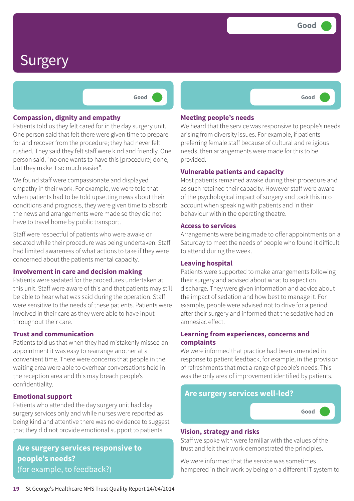**Good –––**

### Surgery

**Good –––**

#### **Compassion, dignity and empathy**

Patients told us they felt cared for in the day surgery unit. One person said that felt there were given time to prepare for and recover from the procedure; they had never felt rushed. They said they felt staff were kind and friendly. One person said, "no one wants to have this [procedure] done, but they make it so much easier".

We found staff were compassionate and displayed empathy in their work. For example, we were told that when patients had to be told upsetting news about their conditions and prognosis, they were given time to absorb the news and arrangements were made so they did not have to travel home by public transport.

Staff were respectful of patients who were awake or sedated while their procedure was being undertaken. Staff had limited awareness of what actions to take if they were concerned about the patients mental capacity.

#### **Involvement in care and decision making**

Patients were sedated for the procedures undertaken at this unit. Staff were aware of this and that patients may still be able to hear what was said during the operation. Staff were sensitive to the needs of these patients. Patients were involved in their care as they were able to have input throughout their care.

#### **Trust and communication**

Patients told us that when they had mistakenly missed an appointment it was easy to rearrange another at a convenient time. There were concerns that people in the waiting area were able to overhear conversations held in the reception area and this may breach people's confidentiality.

#### **Emotional support**

Patients who attended the day surgery unit had day surgery services only and while nurses were reported as being kind and attentive there was no evidence to suggest that they did not provide emotional support to patients.

**Are surgery services responsive to people's needs?** (for example, to feedback?)

#### **Meeting people's needs**

We heard that the service was responsive to people's needs arising from diversity issues. For example, if patients preferring female staff because of cultural and religious needs, then arrangements were made for this to be provided.

#### **Vulnerable patients and capacity**

Most patients remained awake during their procedure and as such retained their capacity. However staff were aware of the psychological impact of surgery and took this into account when speaking with patients and in their behaviour within the operating theatre.

#### **Access to services**

Arrangements were being made to offer appointments on a Saturday to meet the needs of people who found it difficult to attend during the week.

#### **Leaving hospital**

Patients were supported to make arrangements following their surgery and advised about what to expect on discharge. They were given information and advice about the impact of sedation and how best to manage it. For example, people were advised not to drive for a period after their surgery and informed that the sedative had an amnesiac effect.

#### **Learning from experiences, concerns and complaints**

We were informed that practice had been amended in response to patient feedback, for example, in the provision of refreshments that met a range of people's needs. This was the only area of improvement identified by patients.

### **Are surgery services well-led? Good –––**

#### **Vision, strategy and risks**

Staff we spoke with were familiar with the values of the trust and felt their work demonstrated the principles.

We were informed that the service was sometimes hampered in their work by being on a different IT system to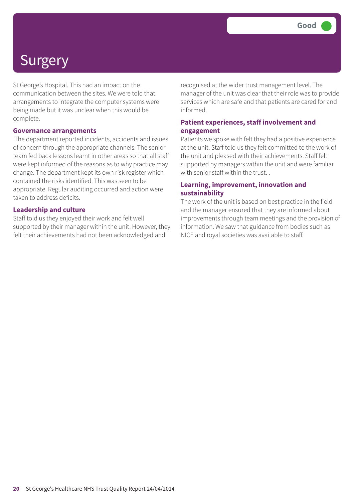# **Surgery**

St George's Hospital. This had an impact on the communication between the sites. We were told that arrangements to integrate the computer systems were being made but it was unclear when this would be complete.

#### **Governance arrangements**

The department reported incidents, accidents and issues of concern through the appropriate channels. The senior team fed back lessons learnt in other areas so that all staff were kept informed of the reasons as to why practice may change. The department kept its own risk register which contained the risks identified. This was seen to be appropriate. Regular auditing occurred and action were taken to address deficits.

#### **Leadership and culture**

Staff told us they enjoyed their work and felt well supported by their manager within the unit. However, they felt their achievements had not been acknowledged and

recognised at the wider trust management level. The manager of the unit was clear that their role was to provide services which are safe and that patients are cared for and informed.

#### **Patient experiences, staff involvement and engagement**

Patients we spoke with felt they had a positive experience at the unit. Staff told us they felt committed to the work of the unit and pleased with their achievements. Staff felt supported by managers within the unit and were familiar with senior staff within the trust.

#### **Learning, improvement, innovation and sustainability**

The work of the unit is based on best practice in the field and the manager ensured that they are informed about improvements through team meetings and the provision of information. We saw that guidance from bodies such as NICE and royal societies was available to staff.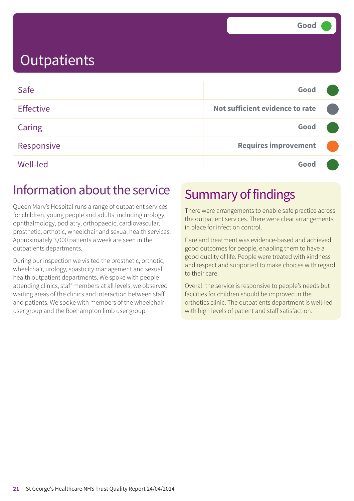| Safe             | Good                            |  |
|------------------|---------------------------------|--|
| <b>Effective</b> | Not sufficient evidence to rate |  |
| Caring           | Good                            |  |
| Responsive       | <b>Requires improvement</b>     |  |
| Well-led         | Good                            |  |

### Information about the service

Queen Mary's Hospital runs a range of outpatient services for children, young people and adults, including urology, ophthalmology, podiatry, orthopaedic, cardiovascular, prosthetic, orthotic, wheelchair and sexual health services. Approximately 3,000 patients a week are seen in the outpatients departments.

During our inspection we visited the prosthetic, orthotic, wheelchair, urology, spasticity management and sexual health outpatient departments. We spoke with people attending clinics, staff members at all levels, we observed waiting areas of the clinics and interaction between staff and patients. We spoke with members of the wheelchair user group and the Roehampton limb user group.

### Summary of findings

There were arrangements to enable safe practice across the outpatient services. There were clear arrangements in place for infection control.

Care and treatment was evidence-based and achieved good outcomes for people, enabling them to have a good quality of life. People were treated with kindness and respect and supported to make choices with regard to their care.

Overall the service is responsive to people's needs but facilities for children should be improved in the orthotics clinic. The outpatients department is well-led with high levels of patient and staff satisfaction.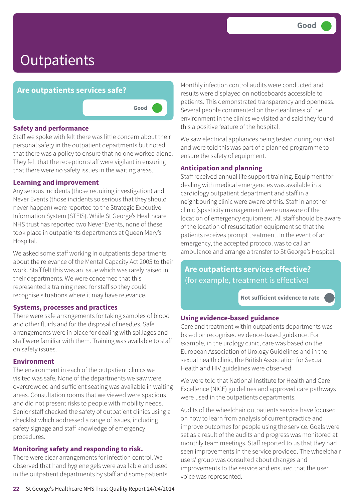### **Are outpatients services safe?**

**Good –––**

#### **Safety and performance**

Staff we spoke with felt there was little concern about their personal safety in the outpatient departments but noted that there was a policy to ensure that no one worked alone. They felt that the reception staff were vigilant in ensuring that there were no safety issues in the waiting areas.

#### **Learning and improvement**

Any serious incidents (those requiring investigation) and Never Events (those incidents so serious that they should never happen) were reported to the Strategic Executive Information System (STEIS). While St George's Healthcare NHS trust has reported two Never Events, none of these took place in outpatients departments at Queen Mary's Hospital.

We asked some staff working in outpatients departments about the relevance of the Mental Capacity Act 2005 to their work. Staff felt this was an issue which was rarely raised in their departments. We were concerned that this represented a training need for staff so they could recognise situations where it may have relevance.

#### **Systems, processes and practices**

There were safe arrangements for taking samples of blood and other fluids and for the disposal of needles. Safe arrangements were in place for dealing with spillages and staff were familiar with them. Training was available to staff on safety issues.

#### **Environment**

The environment in each of the outpatient clinics we visited was safe. None of the departments we saw were overcrowded and sufficient seating was available in waiting areas. Consultation rooms that we viewed were spacious and did not present risks to people with mobility needs. Senior staff checked the safety of outpatient clinics using a checklist which addressed a range of issues, including safety signage and staff knowledge of emergency procedures.

### **Monitoring safety and responding to risk.**

There were clear arrangements for infection control. We observed that hand hygiene gels were available and used in the outpatient departments by staff and some patients. Monthly infection control audits were conducted and results were displayed on noticeboards accessible to patients. This demonstrated transparency and openness. Several people commented on the cleanliness of the environment in the clinics we visited and said they found this a positive feature of the hospital.

We saw electrical appliances being tested during our visit and were told this was part of a planned programme to ensure the safety of equipment.

### **Anticipation and planning**

Staff received annual life support training. Equipment for dealing with medical emergencies was available in a cardiology outpatient department and staff in a neighbouring clinic were aware of this. Staff in another clinic (spasticity management) were unaware of the location of emergency equipment. All staff should be aware of the location of resuscitation equipment so that the patients receives prompt treatment. In the event of an emergency, the accepted protocol was to call an ambulance and arrange a transfer to St George's Hospital.

**Are outpatients services effective?** (for example, treatment is effective)

**Not sufficient evidence to rate –––**

### **Using evidence-based guidance**

Care and treatment within outpatients departments was based on recognised evidence-based guidance. For example, in the urology clinic, care was based on the European Association of Urology Guidelines and in the sexual health clinic, the British Association for Sexual Health and HIV guidelines were observed.

We were told that National Institute for Health and Care Excellence (NICE) guidelines and approved care pathways were used in the outpatients departments.

Audits of the wheelchair outpatients service have focused on how to learn from analysis of current practice and improve outcomes for people using the service. Goals were set as a result of the audits and progress was monitored at monthly team meetings. Staff reported to us that they had seen improvements in the service provided. The wheelchair users' group was consulted about changes and improvements to the service and ensured that the user voice was represented.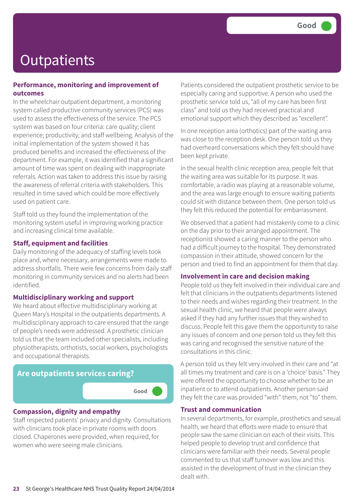#### **Performance, monitoring and improvement of outcomes**

In the wheelchair outpatient department, a monitoring system called productive community services (PCS) was used to assess the effectiveness of the service. The PCS system was based on four criteria: care quality; client experience; productivity; and staff wellbeing. Analysis of the initial implementation of the system showed it has produced benefits and increased the effectiveness of the department. For example, it was identified that a significant amount of time was spent on dealing with inappropriate referrals. Action was taken to address this issue by raising the awareness of referral criteria with stakeholders. This resulted in time saved which could be more effectively used on patient care.

Staff told us they found the implementation of the monitoring system useful in improving working practice and increasing clinical time available.

#### **Staff, equipment and facilities**

Daily monitoring of the adequacy of staffing levels took place and, where necessary, arrangements were made to address shortfalls. There were few concerns from daily staff monitoring in community services and no alerts had been identified.

#### **Multidisciplinary working and support**

We heard about effective multidisciplinary working at Queen Mary's Hospital in the outpatients departments. A multidisciplinary approach to care ensured that the range of people's needs were addressed. A prosthetic clinician told us that the team included other specialists, including physiotherapists, orthotists, social workers, psychologists and occupational therapists.



#### **Compassion, dignity and empathy**

Staff respected patients' privacy and dignity. Consultations with clinicians took place in private rooms with doors closed. Chaperones were provided, when required, for women who were seeing male clinicians.

Patients considered the outpatient prosthetic service to be especially caring and supportive. A person who used the prosthetic service told us, "all of my care has been first class" and told us they had received practical and emotional support which they described as "excellent".

In one reception area (orthotics) part of the waiting area was close to the reception desk. One person told us they had overheard conversations which they felt should have been kept private.

In the sexual health clinic reception area, people felt that the waiting area was suitable for its purpose. It was comfortable, a radio was playing at a reasonable volume, and the area was large enough to ensure waiting patients could sit with distance between them. One person told us they felt this reduced the potential for embarrassment.

We observed that a patient had mistakenly come to a clinic on the day prior to their arranged appointment. The receptionist showed a caring manner to the person who had a difficult journey to the hospital. They demonstrated compassion in their attitude, showed concern for the person and tried to find an appointment for them that day.

#### **Involvement in care and decision making**

People told us they felt involved in their individual care and felt that clinicians in the outpatients departments listened to their needs and wishes regarding their treatment. In the sexual health clinic, we heard that people were always asked if they had any further issues that they wished to discuss. People felt this gave them the opportunity to raise any issues of concern and one person told us they felt this was caring and recognised the sensitive nature of the consultations in this clinic.

A person told us they felt very involved in their care and "at all times my treatment and care is on a 'choice' basis." They were offered the opportunity to choose whether to be an inpatient or to attend outpatients. Another person said they felt the care was provided "with" them, not "to" them.

#### **Trust and communication**

In several departments, for example, prosthetics and sexual health, we heard that efforts were made to ensure that people saw the same clinician on each of their visits. This helped people to develop trust and confidence that clinicians were familiar with their needs. Several people commented to us that staff turnover was low and this assisted in the development of trust in the clinician they dealt with.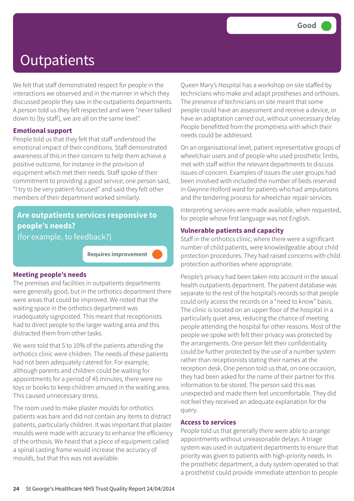We felt that staff demonstrated respect for people in the interactions we observed and in the manner in which they discussed people they saw in the outpatients departments. A person told us they felt respected and were "never talked down to [by staff], we are all on the same level".

#### **Emotional support**

People told us that they felt that staff understood the emotional impact of their conditions. Staff demonstrated awareness of this in their concern to help them achieve a positive outcome, for instance in the provision of equipment which met their needs. Staff spoke of their commitment to providing a good service; one person said, "I try to be very patient-focused" and said they felt other members of their department worked similarly.

### **Are outpatients services responsive to people's needs?**

(for example, to feedback?)

**Requires improvement –––**

#### **Meeting people's needs**

The premises and facilities in outpatients departments were generally good, but in the orthotics department there were areas that could be improved. We noted that the waiting space in the orthotics department was inadequately signposted. This meant that receptionists had to direct people to the larger waiting area and this distracted them from other tasks.

We were told that 5 to 10% of the patients attending the orthotics clinic were children. The needs of these patients had not been adequately catered for. For example, although parents and children could be waiting for appointments for a period of 45 minutes, there were no toys or books to keep children amused in the waiting area. This caused unnecessary stress.

The room used to make plaster moulds for orthotics patients was bare and did not contain any items to distract patients, particularly children. It was important that plaster moulds were made with accuracy to enhance the efficiency of the orthosis. We heard that a piece of equipment called a spinal casting frame would increase the accuracy of moulds, but that this was not available.

Queen Mary's Hospital has a workshop on site staffed by technicians who make and adapt prostheses and orthoses. The presence of technicians on site meant that some people could have an assessment and receive a device, or have an adaptation carried out, without unnecessary delay. People benefitted from the promptness with which their needs could be addressed.

On an organisational level, patient representative groups of wheelchair users and of people who used prosthetic limbs, met with staff within the relevant departments to discuss issues of concern. Examples of issues the user groups had been involved with included the number of beds reserved in Gwynne Holford ward for patients who had amputations and the tendering process for wheelchair repair services.

Interpreting services were made available, when requested, for people whose first language was not English.

#### **Vulnerable patients and capacity**

Staff in the orthotics clinic, where there were a significant number of child patients, were knowledgeable about child protection procedures. They had raised concerns with child protection authorities where appropriate.

People's privacy had been taken into account in the sexual health outpatients department. The patient database was separate to the rest of the hospital's records so that people could only access the records on a "need to know" basis. The clinic is located on an upper floor of the hospital in a particularly quiet area, reducing the chance of meeting people attending the hospital for other reasons. Most of the people we spoke with felt their privacy was protected by the arrangements. One person felt their confidentiality could be further protected by the use of a number system rather than receptionists stating their names at the reception desk. One person told us that, on one occasion, they had been asked for the name of their partner for this information to be stored. The person said this was unexpected and made them feel uncomfortable. They did not feel they received an adequate explanation for the query.

#### **Access to services**

People told us that generally there were able to arrange appointments without unreasonable delays. A triage system was used in outpatient departments to ensure that priority was given to patients with high-priority needs. In the prosthetic department, a duty system operated so that a prosthetist could provide immediate attention to people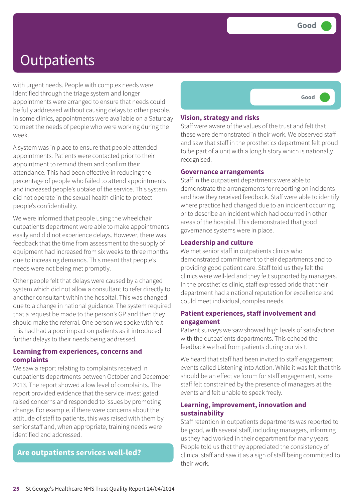with urgent needs. People with complex needs were identified through the triage system and longer appointments were arranged to ensure that needs could be fully addressed without causing delays to other people. In some clinics, appointments were available on a Saturday to meet the needs of people who were working during the week.

A system was in place to ensure that people attended appointments. Patients were contacted prior to their appointment to remind them and confirm their attendance. This had been effective in reducing the percentage of people who failed to attend appointments and increased people's uptake of the service. This system did not operate in the sexual health clinic to protect people's confidentiality.

We were informed that people using the wheelchair outpatients department were able to make appointments easily and did not experience delays. However, there was feedback that the time from assessment to the supply of equipment had increased from six weeks to three months due to increasing demands. This meant that people's needs were not being met promptly.

Other people felt that delays were caused by a changed system which did not allow a consultant to refer directly to another consultant within the hospital. This was changed due to a change in national guidance. The system required that a request be made to the person's GP and then they should make the referral. One person we spoke with felt this had had a poor impact on patients as it introduced further delays to their needs being addressed.

#### **Learning from experiences, concerns and complaints**

We saw a report relating to complaints received in outpatients departments between October and December 2013. The report showed a low level of complaints. The report provided evidence that the service investigated raised concerns and responded to issues by promoting change. For example, if there were concerns about the attitude of staff to patients, this was raised with them by senior staff and, when appropriate, training needs were identified and addressed.

### **Are outpatients services well-led?**



#### **Vision, strategy and risks**

Staff were aware of the values of the trust and felt that these were demonstrated in their work. We observed staff and saw that staff in the prosthetics department felt proud to be part of a unit with a long history which is nationally recognised.

#### **Governance arrangements**

Staff in the outpatient departments were able to demonstrate the arrangements for reporting on incidents and how they received feedback. Staff were able to identify where practice had changed due to an incident occurring or to describe an incident which had occurred in other areas of the hospital. This demonstrated that good governance systems were in place.

#### **Leadership and culture**

We met senior staff in outpatients clinics who demonstrated commitment to their departments and to providing good patient care. Staff told us they felt the clinics were well-led and they felt supported by managers. In the prosthetics clinic, staff expressed pride that their department had a national reputation for excellence and could meet individual, complex needs.

#### **Patient experiences, staff involvement and engagement**

Patient surveys we saw showed high levels of satisfaction with the outpatients departments. This echoed the feedback we had from patients during our visit.

We heard that staff had been invited to staff engagement events called Listening into Action. While it was felt that this should be an effective forum for staff engagement, some staff felt constrained by the presence of managers at the events and felt unable to speak freely.

#### **Learning, improvement, innovation and sustainability**

Staff retention in outpatients departments was reported to be good, with several staff, including managers, informing us they had worked in their department for many years. People told us that they appreciated the consistency of clinical staff and saw it as a sign of staff being committed to their work.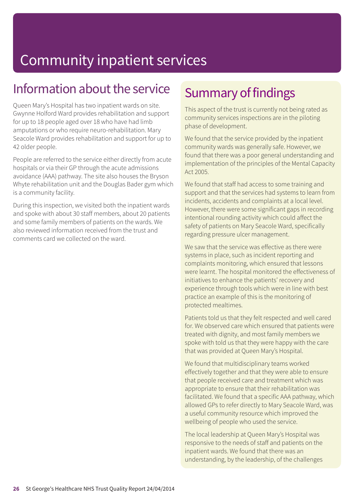### Information about the service

Queen Mary's Hospital has two inpatient wards on site. Gwynne Holford Ward provides rehabilitation and support for up to 18 people aged over 18 who have had limb amputations or who require neuro-rehabilitation. Mary Seacole Ward provides rehabilitation and support for up to 42 older people.

People are referred to the service either directly from acute hospitals or via their GP through the acute admissions avoidance (AAA) pathway. The site also houses the Bryson Whyte rehabilitation unit and the Douglas Bader gym which is a community facility.

During this inspection, we visited both the inpatient wards and spoke with about 30 staff members, about 20 patients and some family members of patients on the wards. We also reviewed information received from the trust and comments card we collected on the ward.

### Summary of findings

This aspect of the trust is currently not being rated as community services inspections are in the piloting phase of development.

We found that the service provided by the inpatient community wards was generally safe. However, we found that there was a poor general understanding and implementation of the principles of the Mental Capacity Act 2005.

We found that staff had access to some training and support and that the services had systems to learn from incidents, accidents and complaints at a local level. However, there were some significant gaps in recording intentional rounding activity which could affect the safety of patients on Mary Seacole Ward, specifically regarding pressure ulcer management.

We saw that the service was effective as there were systems in place, such as incident reporting and complaints monitoring, which ensured that lessons were learnt. The hospital monitored the effectiveness of initiatives to enhance the patients' recovery and experience through tools which were in line with best practice an example of this is the monitoring of protected mealtimes.

Patients told us that they felt respected and well cared for. We observed care which ensured that patients were treated with dignity, and most family members we spoke with told us that they were happy with the care that was provided at Queen Mary's Hospital.

We found that multidisciplinary teams worked effectively together and that they were able to ensure that people received care and treatment which was appropriate to ensure that their rehabilitation was facilitated. We found that a specific AAA pathway, which allowed GPs to refer directly to Mary Seacole Ward, was a useful community resource which improved the wellbeing of people who used the service.

The local leadership at Queen Mary's Hospital was responsive to the needs of staff and patients on the inpatient wards. We found that there was an understanding, by the leadership, of the challenges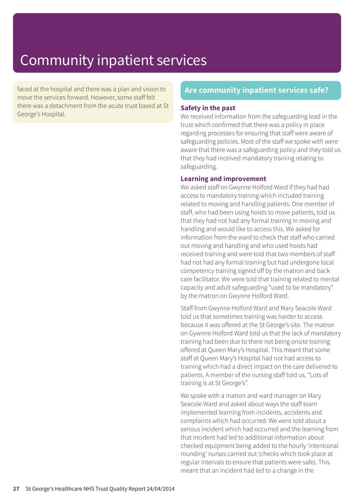faced at the hospital and there was a plan and vision to move the services forward. However, some staff felt there was a detachment from the acute trust based at St George's Hospital.

### **Are community inpatient services safe?**

#### **Safety in the past**

We received information from the safeguarding lead in the trust which confirmed that there was a policy in place regarding processes for ensuring that staff were aware of safeguarding policies. Most of the staff we spoke with were aware that there was a safeguarding policy and they told us that they had received mandatory training relating to safeguarding.

#### **Learning and improvement**

We asked staff on Gwynne Holford Ward if they had had access to mandatory training which included training related to moving and handling patients. One member of staff, who had been using hoists to move patients, told us that they had not had any formal training in moving and handling and would like to access this. We asked for information from the ward to check that staff who carried out moving and handling and who used hoists had received training and were told that two members of staff had not had any formal training but had undergone local competency training signed off by the matron and back care facilitator. We were told that training related to mental capacity and adult safeguarding "used to be mandatory" by the matron on Gwynne Holford Ward.

Staff from Gwynne Holford Ward and Mary Seacole Ward told us that sometimes training was harder to access because it was offered at the St George's site. The matron on Gywnne Holford Ward told us that the lack of mandatory training had been due to there not being onsite training offered at Queen Mary's Hospital. This meant that some staff at Queen Mary's Hospital had not had access to training which had a direct impact on the care delivered to patients. A member of the nursing staff told us, "Lots of training is at St George's".

We spoke with a matron and ward manager on Mary Seacole Ward and asked about ways the staff team implemented learning from incidents, accidents and complaints which had occurred. We were told about a serious incident which had occurred and the learning from that incident had led to additional information about checked equipment being added to the hourly 'intentional rounding' nurses carried out (checks which took place at regular intervals to ensure that patients were safe). This meant that an incident had led to a change in the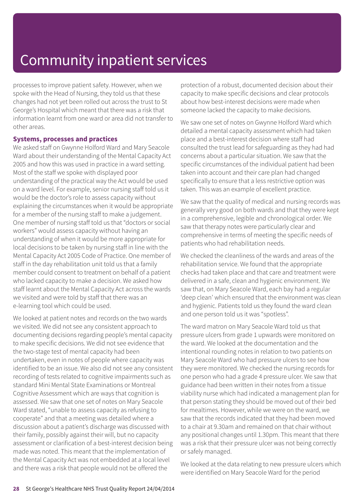processes to improve patient safety. However, when we spoke with the Head of Nursing, they told us that these changes had not yet been rolled out across the trust to St George's Hospital which meant that there was a risk that information learnt from one ward or area did not transfer to other areas.

#### **Systems, processes and practices**

We asked staff on Gwynne Holford Ward and Mary Seacole Ward about their understanding of the Mental Capacity Act 2005 and how this was used in practice in a ward setting. Most of the staff we spoke with displayed poor understanding of the practical way the Act would be used on a ward level. For example, senior nursing staff told us it would be the doctor's role to assess capacity without explaining the circumstances when it would be appropriate for a member of the nursing staff to make a judgement. One member of nursing staff told us that "doctors or social workers" would assess capacity without having an understanding of when it would be more appropriate for local decisions to be taken by nursing staff in line with the Mental Capacity Act 2005 Code of Practice. One member of staff in the day rehabilitation unit told us that a family member could consent to treatment on behalf of a patient who lacked capacity to make a decision. We asked how staff learnt about the Mental Capacity Act across the wards we visited and were told by staff that there was an e-learning tool which could be used.

We looked at patient notes and records on the two wards we visited. We did not see any consistent approach to documenting decisions regarding people's mental capacity to make specific decisions. We did not see evidence that the two-stage test of mental capacity had been undertaken, even in notes of people where capacity was identified to be an issue. We also did not see any consistent recording of tests related to cognitive impairments such as standard Mini Mental State Examinations or Montreal Cognitive Assessment which are ways that cognition is assessed. We saw that one set of notes on Mary Seacole Ward stated, "unable to assess capacity as refusing to cooperate" and that a meeting was detailed where a discussion about a patient's discharge was discussed with their family, possibly against their will, but no capacity assessment or clarification of a best-interest decision being made was noted. This meant that the implementation of the Mental Capacity Act was not embedded at a local level and there was a risk that people would not be offered the

protection of a robust, documented decision about their capacity to make specific decisions and clear protocols about how best-interest decisions were made when someone lacked the capacity to make decisions.

We saw one set of notes on Gwynne Holford Ward which detailed a mental capacity assessment which had taken place and a best-interest decision where staff had consulted the trust lead for safeguarding as they had had concerns about a particular situation. We saw that the specific circumstances of the individual patient had been taken into account and their care plan had changed specifically to ensure that a less restrictive option was taken. This was an example of excellent practice.

We saw that the quality of medical and nursing records was generally very good on both wards and that they were kept in a comprehensive, legible and chronological order. We saw that therapy notes were particularly clear and comprehensive in terms of meeting the specific needs of patients who had rehabilitation needs.

We checked the cleanliness of the wards and areas of the rehabilitation service. We found that the appropriate checks had taken place and that care and treatment were delivered in a safe, clean and hygienic environment. We saw that, on Mary Seacole Ward, each bay had a regular 'deep clean' which ensured that the environment was clean and hygienic. Patients told us they found the ward clean and one person told us it was "spotless".

The ward matron on Mary Seacole Ward told us that pressure ulcers from grade 1 upwards were monitored on the ward. We looked at the documentation and the intentional rounding notes in relation to two patients on Mary Seacole Ward who had pressure ulcers to see how they were monitored. We checked the nursing records for one person who had a grade 4 pressure ulcer. We saw that guidance had been written in their notes from a tissue viability nurse which had indicated a management plan for that person stating they should be moved out of their bed for mealtimes. However, while we were on the ward, we saw that the records indicated that they had been moved to a chair at 9.30am and remained on that chair without any positional changes until 1.30pm. This meant that there was a risk that their pressure ulcer was not being correctly or safely managed.

We looked at the data relating to new pressure ulcers which were identified on Mary Seacole Ward for the period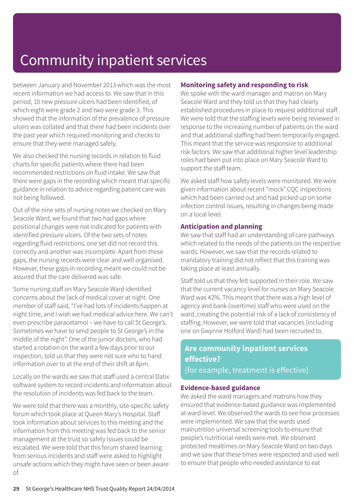between January and November 2013 which was the most recent information we had access to. We saw that in this period, 10 new pressure ulcers had been identified, of which eight were grade 2 and two were grade 3. This showed that the information of the prevalence of pressure ulcers was collated and that there had been incidents over the past year which required monitoring and checks to ensure that they were managed safely.

We also checked the nursing records in relation to fluid charts for specific patients where there had been recommended restrictions on fluid intake. We saw that there were gaps in the recording which meant that specific guidance in relation to advice regarding patient care was not being followed.

Out of the nine sets of nursing notes we checked on Mary Seacole Ward, we found that two had gaps where positional changes were not indicated for patients with identified pressure ulcers. Of the two sets of notes regarding fluid restrictions, one set did not record this correctly and another was incomplete. Apart from these gaps, the nursing records were clear and well organised. However, these gaps in recording meant we could not be assured that the care delivered was safe.

Some nursing staff on Mary Seacole Ward identified concerns about the lack of medical cover at night. One member of staff said, "I've had lots of incidents happen at night time, and I wish we had medical advice here. We can't even prescribe paracetamol – we have to call St George's. Sometimes we have to send people to St George's in the middle of the night". One of the junior doctors, who had started a rotation on the ward a few days prior to our inspection, told us that they were not sure who to hand information over to at the end of their shift at 8pm.

Locally on the wards we saw that staff used a central Datix software system to record incidents and information about the resolution of incidents was fed back to the team.

We were told that there was a monthly, site-specific safety forum which took place at Queen Mary's Hospital. Staff took information about services to this meeting and the information from this meeting was fed back to the senior management at the trust so safety issues could be escalated. We were told that this forum shared learning from serious incidents and staff were asked to highlight unsafe actions which they might have seen or been aware of.

#### **Monitoring safety and responding to risk**

We spoke with the ward manager and matron on Mary Seacole Ward and they told us that they had clearly established procedures in place to request additional staff. We were told that the staffing levels were being reviewed in response to the increasing number of patients on the ward and that additional staffing had been temporarily engaged. This meant that the service was responsive to additional risk factors. We saw that additional higher level leadership roles had been put into place on Mary Seacole Ward to support the staff team.

We asked staff how safety levels were monitored. We were given information about recent "mock" CQC inspections which had been carried out and had picked up on some infection control issues, resulting in changes being made on a local level.

#### **Anticipation and planning**

We saw that staff had an understanding of care pathways which related to the needs of the patients on the respective wards. However, we saw that the records related to mandatory training did not reflect that this training was taking place at least annually.

Staff told us that they felt supported in their role. We saw that the current vacancy level for nurses on Mary Seacole Ward was 42%. This meant that there was a high level of agency and bank (overtime) staff who were used on the ward, creating the potential risk of a lack of consistency of staffing. However, we were told that vacancies (including one on Gwynne Holford Ward) had been recruited to.

### **Are community inpatient services effective?** (for example, treatment is effective)

#### **Evidence-based guidance**

We asked the ward managers and matrons how they ensured that evidence-based guidance was implemented at ward level. We observed the wards to see how processes were implemented. We saw that the wards used malnutrition universal screening tools to ensure that people's nutritional needs were met. We observed protected mealtimes on Mary Seacole Ward on two days and we saw that these times were respected and used well to ensure that people who needed assistance to eat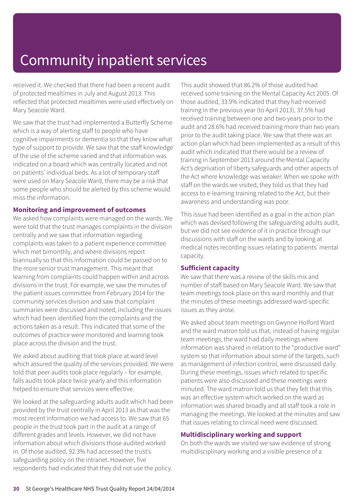received it. We checked that there had been a recent audit of protected mealtimes in July and August 2013. This reflected that protected mealtimes were used effectively on Mary Seacole Ward.

We saw that the trust had implemented a Butterfly Scheme which is a way of alerting staff to people who have cognitive impairments or dementia so that they know what type of support to provide. We saw that the staff knowledge of the use of the scheme varied and that information was indicated on a board which was centrally located and not on patients' individual beds. As a lot of temporary staff were used on Mary Seacole Ward, there may be a risk that some people who should be alerted by this scheme would miss the information.

#### **Monitoring and improvement of outcomes**

We asked how complaints were managed on the wards. We were told that the trust manages complaints in the division centrally and we saw that information regarding complaints was taken to a patient experience committee which met bimonthly, and where divisions report biannually so that this information could be passed on to the more senior trust management. This meant that learning from complaints could happen within and across divisions in the trust. For example, we saw the minutes of the patient issues committee from February 2014 for the community services division and saw that complaint summaries were discussed and noted, including the issues which had been identified from the complaints and the actions taken as a result. This indicated that some of the outcomes of practice were monitored and learning took place across the division and the trust.

We asked about auditing that took place at ward level which assured the quality of the services provided. We were told that peer audits took place regularly – for example, falls audits took place twice yearly and this information helped to ensure that services were effective.

We looked at the safeguarding adults audit which had been provided by the trust centrally in April 2013 as that was the most recent information we had access to. We saw that 65 people in the trust took part in the audit at a range of different grades and levels. However, we did not have information about which divisions those audited worked in. Of those audited, 92.3% had accessed the trust's safeguarding policy on the intranet. However, five respondents had indicated that they did not use the policy.

This audit showed that 86.2% of those audited had received some training on the Mental Capacity Act 2005. Of those audited, 33.9% indicated that they had received training in the previous year (to April 2013), 37.5% had received training between one and two years prior to the audit and 28.6% had received training more than two years prior to the audit taking place. We saw that there was an action plan which had been implemented as a result of this audit which indicated that there would be a review of training in September 2013 around the Mental Capacity Act's deprivation of liberty safeguards and other aspects of the Act where knowledge was weaker. When we spoke with staff on the wards we visited, they told us that they had access to e-learning training related to the Act, but their awareness and understanding was poor.

This issue had been identified as a goal in the action plan which was devised following the safeguarding adults audit, but we did not see evidence of it in practice through our discussions with staff on the wards and by looking at medical notes recording issues relating to patients' mental capacity.

#### **Sufficient capacity**

We saw that there was a review of the skills mix and number of staff based on Mary Seacole Ward. We saw that team meetings took place on this ward monthly and that the minutes of these meetings addressed ward-specific issues as they arose.

We asked about team meetings on Gwynne Holford Ward and the ward matron told us that, instead of having regular team meetings, the ward had daily meetings where information was shared in relation to the "productive ward" system so that information about some of the targets, such as management of infection control, were discussed daily. During these meetings, issues which related to specific patients were also discussed and these meetings were minuted. The ward matron told us that they felt that this was an effective system which worked on the ward as information was shared broadly and all staff took a role in managing the meetings. We looked at the minutes and saw that issues relating to clinical need were discussed.

#### **Multidisciplinary working and support**

On both the wards we visited we saw evidence of strong multidisciplinary working and a visible presence of a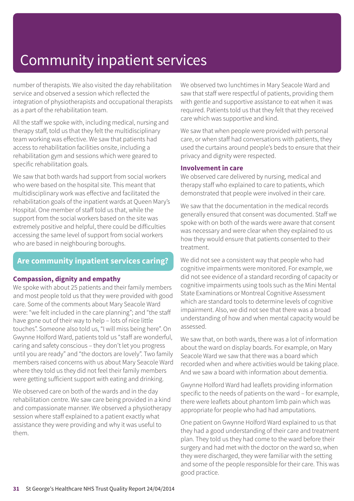number of therapists. We also visited the day rehabilitation service and observed a session which reflected the integration of physiotherapists and occupational therapists as a part of the rehabilitation team.

All the staff we spoke with, including medical, nursing and therapy staff, told us that they felt the multidisciplinary team working was effective. We saw that patients had access to rehabilitation facilities onsite, including a rehabilitation gym and sessions which were geared to specific rehabilitation goals.

We saw that both wards had support from social workers who were based on the hospital site. This meant that multidisciplinary work was effective and facilitated the rehabilitation goals of the inpatient wards at Queen Mary's Hospital. One member of staff told us that, while the support from the social workers based on the site was extremely positive and helpful, there could be difficulties accessing the same level of support from social workers who are based in neighbouring boroughs.

### **Are community inpatient services caring?**

#### **Compassion, dignity and empathy**

We spoke with about 25 patients and their family members and most people told us that they were provided with good care. Some of the comments about Mary Seacole Ward were: "we felt included in the care planning"; and "the staff have gone out of their way to help – lots of nice little touches". Someone also told us, "I will miss being here". On Gwynne Holford Ward, patients told us "staff are wonderful, caring and safety conscious – they don't let you progress until you are ready" and "the doctors are lovely". Two family members raised concerns with us about Mary Seacole Ward where they told us they did not feel their family members were getting sufficient support with eating and drinking.

We observed care on both of the wards and in the day rehabilitation centre. We saw care being provided in a kind and compassionate manner. We observed a physiotherapy session where staff explained to a patient exactly what assistance they were providing and why it was useful to them.

We observed two lunchtimes in Mary Seacole Ward and saw that staff were respectful of patients, providing them with gentle and supportive assistance to eat when it was required. Patients told us that they felt that they received care which was supportive and kind.

We saw that when people were provided with personal care, or when staff had conversations with patients, they used the curtains around people's beds to ensure that their privacy and dignity were respected.

#### **Involvement in care**

We observed care delivered by nursing, medical and therapy staff who explained to care to patients, which demonstrated that people were involved in their care.

We saw that the documentation in the medical records generally ensured that consent was documented. Staff we spoke with on both of the wards were aware that consent was necessary and were clear when they explained to us how they would ensure that patients consented to their treatment.

We did not see a consistent way that people who had cognitive impairments were monitored. For example, we did not see evidence of a standard recording of capacity or cognitive impairments using tools such as the Mini Mental State Examinations or Montreal Cognitive Assessment which are standard tools to determine levels of cognitive impairment. Also, we did not see that there was a broad understanding of how and when mental capacity would be assessed.

We saw that, on both wards, there was a lot of information about the ward on display boards. For example, on Mary Seacole Ward we saw that there was a board which recorded when and where activities would be taking place. And we saw a board with information about dementia.

Gwynne Holford Ward had leaflets providing information specific to the needs of patients on the ward – for example, there were leaflets about phantom limb pain which was appropriate for people who had had amputations.

One patient on Gwynne Holford Ward explained to us that they had a good understanding of their care and treatment plan. They told us they had come to the ward before their surgery and had met with the doctor on the ward so, when they were discharged, they were familiar with the setting and some of the people responsible for their care. This was good practice.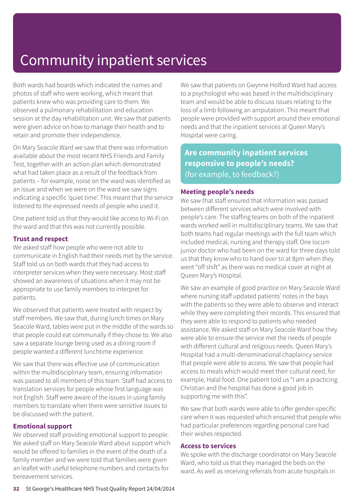Both wards had boards which indicated the names and photos of staff who were working, which meant that patients knew who was providing care to them. We observed a pulmonary rehabilitation and education session at the day rehabilitation unit. We saw that patients were given advice on how to manage their health and to retain and promote their independence.

On Mary Seacole Ward we saw that there was information available about the most recent NHS Friends and Family Test, together with an action plan which demonstrated what had taken place as a result of the feedback from patients – for example, noise on the ward was identified as an issue and when we were on the ward we saw signs indicating a specific 'quiet time'. This meant that the service listened to the expressed needs of people who used it.

One patient told us that they would like access to Wi-Fi on the ward and that this was not currently possible.

#### **Trust and respect**

We asked staff how people who were not able to communicate in English had their needs met by the service. Staff told us on both wards that they had access to interpreter services when they were necessary. Most staff showed an awareness of situations when it may not be appropriate to use family members to interpret for patients.

We observed that patients were treated with respect by staff members. We saw that, during lunch times on Mary Seacole Ward, tables were put in the middle of the wards so that people could eat communally if they chose to. We also saw a separate lounge being used as a dining room if people wanted a different lunchtime experience.

We saw that there was effective use of communication within the multidisciplinary team, ensuring information was passed to all members of this team. Staff had access to translation services for people whose first language was not English. Staff were aware of the issues in using family members to translate when there were sensitive issues to be discussed with the patient.

#### **Emotional support**

We observed staff providing emotional support to people. We asked staff on Mary Seacole Ward about support which would be offered to families in the event of the death of a family member and we were told that families were given an leaflet with useful telephone numbers and contacts for bereavement services.

We saw that patients on Gwynne Holford Ward had access to a psychologist who was based in the multidisciplinary team and would be able to discuss issues relating to the loss of a limb following an amputation. This meant that people were provided with support around their emotional needs and that the inpatient services at Queen Mary's Hospital were caring.

**Are community inpatient services responsive to people's needs?** (for example, to feedback?)

#### **Meeting people's needs**

We saw that staff ensured that information was passed between different services which were involved with people's care. The staffing teams on both of the inpatient wards worked well in multidisciplinary teams. We saw that both teams had regular meetings with the full team which included medical, nursing and therapy staff. One locum junior doctor who had been on the ward for three days told us that they know who to hand over to at 8pm when they went "off shift" as there was no medical cover at night at Queen Mary's Hospital.

We saw an example of good practice on Mary Seacole Ward where nursing staff updated patients' notes in the bays with the patients so they were able to observe and interact while they were completing their records. This ensured that they were able to respond to patients who needed assistance. We asked staff on Mary Seacole Ward how they were able to ensure the service met the needs of people with different cultural and religious needs. Queen Mary's Hospital had a multi-denominational chaplaincy service that people were able to access. We saw that people had access to meals which would meet their cultural need, for example, Halal food. One patient told us "I am a practicing Christian and the hospital has done a good job in supporting me with this".

We saw that both wards were able to offer gender-specific care when it was requested which ensured that people who had particular preferences regarding personal care had their wishes respected.

#### **Access to services**

We spoke with the discharge coordinator on Mary Seacole Ward, who told us that they managed the beds on the ward. As well as receiving referrals from acute hospitals in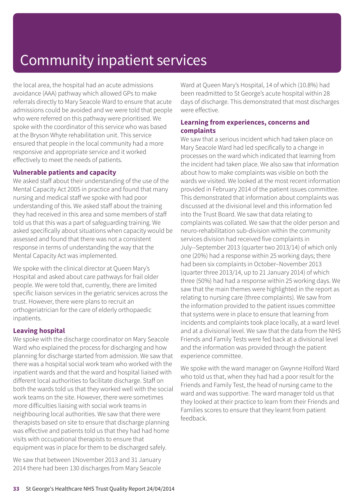the local area, the hospital had an acute admissions avoidance (AAA) pathway which allowed GPs to make referrals directly to Mary Seacole Ward to ensure that acute admissions could be avoided and we were told that people who were referred on this pathway were prioritised. We spoke with the coordinator of this service who was based at the Bryson Whyte rehabilitation unit. This service ensured that people in the local community had a more responsive and appropriate service and it worked effectively to meet the needs of patients.

#### **Vulnerable patients and capacity**

We asked staff about their understanding of the use of the Mental Capacity Act 2005 in practice and found that many nursing and medical staff we spoke with had poor understanding of this. We asked staff about the training they had received in this area and some members of staff told us that this was a part of safeguarding training. We asked specifically about situations when capacity would be assessed and found that there was not a consistent response in terms of understanding the way that the Mental Capacity Act was implemented.

We spoke with the clinical director at Queen Mary's Hospital and asked about care pathways for frail older people. We were told that, currently, there are limited specific liaison services in the geriatric services across the trust. However, there were plans to recruit an orthogeriatrician for the care of elderly orthopaedic inpatients.

#### **Leaving hospital**

We spoke with the discharge coordinator on Mary Seacole Ward who explained the process for discharging and how planning for discharge started from admission. We saw that there was a hospital social work team who worked with the inpatient wards and that the ward and hospital liaised with different local authorities to facilitate discharge. Staff on both the wards told us that they worked well with the social work teams on the site. However, there were sometimes more difficulties liaising with social work teams in neighbouring local authorities. We saw that there were therapists based on site to ensure that discharge planning was effective and patients told us that they had had home visits with occupational therapists to ensure that equipment was in place for them to be discharged safely.

We saw that between 1November 2013 and 31 January 2014 there had been 130 discharges from Mary Seacole Ward at Queen Mary's Hospital, 14 of which (10.8%) had been readmitted to St George's acute hospital within 28 days of discharge. This demonstrated that most discharges were effective.

#### **Learning from experiences, concerns and complaints**

We saw that a serious incident which had taken place on Mary Seacole Ward had led specifically to a change in processes on the ward which indicated that learning from the incident had taken place. We also saw that information about how to make complaints was visible on both the wards we visited. We looked at the most recent information provided in February 2014 of the patient issues committee. This demonstrated that information about complaints was discussed at the divisional level and this information fed into the Trust Board. We saw that data relating to complaints was collated. We saw that the older person and neuro-rehabilitation sub-division within the community services division had received five complaints in July--September 2013 (quarter two 2013/14) of which only one (20%) had a response within 25 working days; there had been six complaints in October–November 2013 (quarter three 2013/14, up to 21 January 2014) of which three (50%) had had a response within 25 working days. We saw that the main themes were highlighted in the report as relating to nursing care (three complaints). We saw from the information provided to the patient issues committee that systems were in place to ensure that learning from incidents and complaints took place locally, at a ward level and at a divisional level. We saw that the data from the NHS Friends and Family Tests were fed back at a divisional level and the information was provided through the patient experience committee.

We spoke with the ward manager on Gwynne Holford Ward who told us that, when they had had a poor result for the Friends and Family Test, the head of nursing came to the ward and was supportive. The ward manager told us that they looked at their practice to learn from their Friends and Families scores to ensure that they learnt from patient feedback.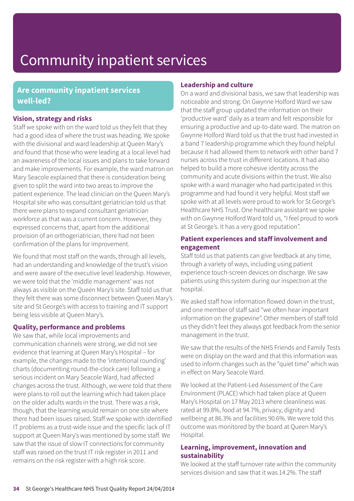### **Are community inpatient services well-led?**

#### **Vision, strategy and risks**

Staff we spoke with on the ward told us they felt that they had a good idea of where the trust was heading. We spoke with the divisional and ward leadership at Queen Mary's and found that those who were leading at a local level had an awareness of the local issues and plans to take forward and make improvements. For example, the ward matron on Mary Seacole explained that there is consideration being given to split the ward into two areas to improve the patient experience. The lead clinician on the Queen Mary's Hospital site who was consultant geriatrician told us that there were plans to expand consultant geriatrician workforce as that was a current concern. However, they expressed concerns that, apart from the additional provision of an orthogeriatrician, there had not been confirmation of the plans for improvement.

We found that most staff on the wards, through all levels, had an understanding and knowledge of the trust's vision and were aware of the executive level leadership. However, we were told that the 'middle management' was not always as visible on the Queen Mary's site. Staff told us that they felt there was some disconnect between Queen Mary's site and St George's with access to training and IT support being less visible at Queen Mary's.

#### **Quality, performance and problems**

We saw that, while local improvements and communication channels were strong, we did not see evidence that learning at Queen Mary's Hospital – for example, the changes made to the 'intentional rounding' charts (documenting round-the-clock care) following a serious incident on Mary Seacole Ward, had affected changes across the trust. Although, we were told that there were plans to roll out the learning which had taken place on the older adults wards in the trust. There was a risk, though, that the learning would remain on one site where there had been issues raised. Staff we spoke with identified IT problems as a trust-wide issue and the specific lack of IT support at Queen Mary's was mentioned by some staff. We saw that the issue of slow IT connections for community staff was raised on the trust IT risk register in 2011 and remains on the risk register with a high risk score.

#### **Leadership and culture**

On a ward and divisional basis, we saw that leadership was noticeable and strong. On Gwynne Holford Ward we saw that the staff group updated the information on their 'productive ward' daily as a team and felt responsible for ensuring a productive and up-to-date ward. The matron on Gwynne Holford Ward told us that the trust had invested in a band 7 leadership programme which they found helpful because it had allowed them to network with other band 7 nurses across the trust in different locations. It had also helped to build a more cohesive identity across the community and acute divisions within the trust. We also spoke with a ward manager who had participated in this programme and had found it very helpful. Most staff we spoke with at all levels were proud to work for St George's Healthcare NHS Trust. One healthcare assistant we spoke with on Gwynne Holford Ward told us, "I feel proud to work at St George's. It has a very good reputation".

#### **Patient experiences and staff involvement and engagement**

Staff told us that patients can give feedback at any time, through a variety of ways, including using patient experience touch-screen devices on discharge. We saw patients using this system during our inspection at the hospital.

We asked staff how information flowed down in the trust, and one member of staff said "we often hear important information on the grapevine". Other members of staff told us they didn't feel they always got feedback from the senior management in the trust.

We saw that the results of the NHS Friends and Family Tests were on display on the ward and that this information was used to inform changes such as the "quiet time" which was in effect on Mary Seacole Ward.

We looked at the Patient-Led Assessment of the Care Environment (PLACE) which had taken place at Queen Mary's Hospital on 17 May 2013 where cleanliness was rated at 99.8%, food at 94.7%, privacy, dignity and wellbeing at 86.3% and facilities 90.6%. We were told this outcome was monitored by the board at Queen Mary's Hospital.

#### **Learning, improvement, innovation and sustainability**

We looked at the staff turnover rate within the community services division and saw that it was 14.2%. The staff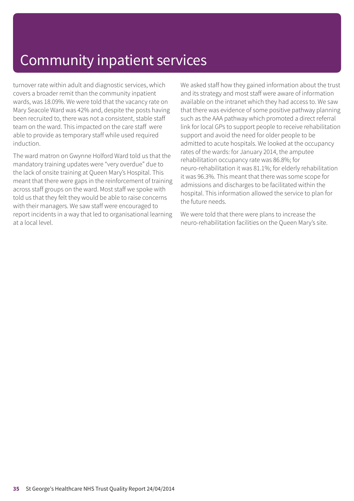turnover rate within adult and diagnostic services, which covers a broader remit than the community inpatient wards, was 18.09%. We were told that the vacancy rate on Mary Seacole Ward was 42% and, despite the posts having been recruited to, there was not a consistent, stable staff team on the ward. This impacted on the care staff were able to provide as temporary staff while used required induction.

The ward matron on Gwynne Holford Ward told us that the mandatory training updates were "very overdue" due to the lack of onsite training at Queen Mary's Hospital. This meant that there were gaps in the reinforcement of training across staff groups on the ward. Most staff we spoke with told us that they felt they would be able to raise concerns with their managers. We saw staff were encouraged to report incidents in a way that led to organisational learning at a local level.

We asked staff how they gained information about the trust and its strategy and most staff were aware of information available on the intranet which they had access to. We saw that there was evidence of some positive pathway planning such as the AAA pathway which promoted a direct referral link for local GPs to support people to receive rehabilitation support and avoid the need for older people to be admitted to acute hospitals. We looked at the occupancy rates of the wards: for January 2014, the amputee rehabilitation occupancy rate was 86.8%; for neuro-rehabilitation it was 81.1%; for elderly rehabilitation it was 96.3%. This meant that there was some scope for admissions and discharges to be facilitated within the hospital. This information allowed the service to plan for the future needs.

We were told that there were plans to increase the neuro-rehabilitation facilities on the Queen Mary's site.